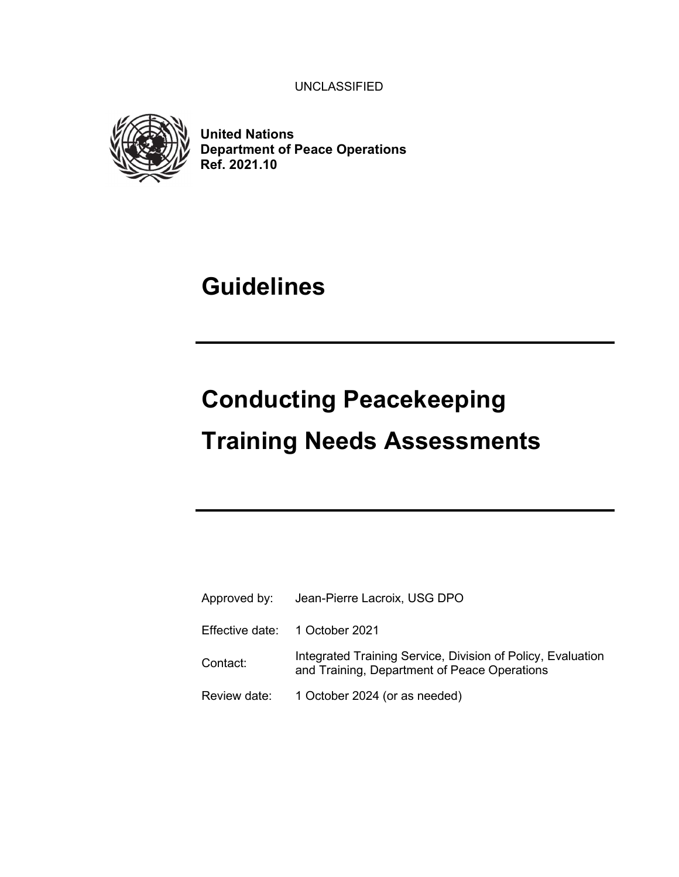UNCLASSIFIED



United Nations Department of Peace Operations Ref. 2021.10

# **Guidelines**

# Conducting Peacekeeping Training Needs Assessments

| Approved by: | Jean-Pierre Lacroix, USG DPO                                                                                |
|--------------|-------------------------------------------------------------------------------------------------------------|
|              | Effective date: 1 October 2021                                                                              |
| Contact:     | Integrated Training Service, Division of Policy, Evaluation<br>and Training, Department of Peace Operations |
| Review date: | 1 October 2024 (or as needed)                                                                               |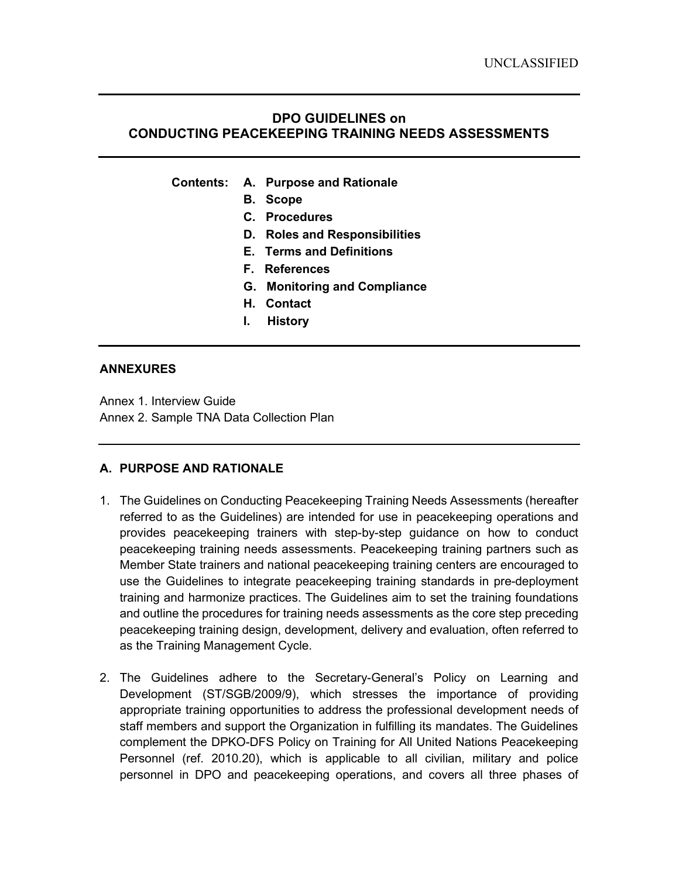# DPO GUIDELINES on CONDUCTING PEACEKEEPING TRAINING NEEDS ASSESSMENTS

Contents: A. Purpose and Rationale

- B. Scope
- C. Procedures
- D. Roles and Responsibilities
- E. Terms and Definitions
- F. References
- G. Monitoring and Compliance
- H. Contact
- I. History

#### ANNEXURES

Annex 1. Interview Guide Annex 2. Sample TNA Data Collection Plan

#### A. PURPOSE AND RATIONALE

- 1. The Guidelines on Conducting Peacekeeping Training Needs Assessments (hereafter referred to as the Guidelines) are intended for use in peacekeeping operations and provides peacekeeping trainers with step-by-step guidance on how to conduct peacekeeping training needs assessments. Peacekeeping training partners such as Member State trainers and national peacekeeping training centers are encouraged to use the Guidelines to integrate peacekeeping training standards in pre-deployment training and harmonize practices. The Guidelines aim to set the training foundations and outline the procedures for training needs assessments as the core step preceding peacekeeping training design, development, delivery and evaluation, often referred to as the Training Management Cycle.
- 2. The Guidelines adhere to the Secretary-General's Policy on Learning and Development (ST/SGB/2009/9), which stresses the importance of providing appropriate training opportunities to address the professional development needs of staff members and support the Organization in fulfilling its mandates. The Guidelines complement the DPKO-DFS Policy on Training for All United Nations Peacekeeping Personnel (ref. 2010.20), which is applicable to all civilian, military and police personnel in DPO and peacekeeping operations, and covers all three phases of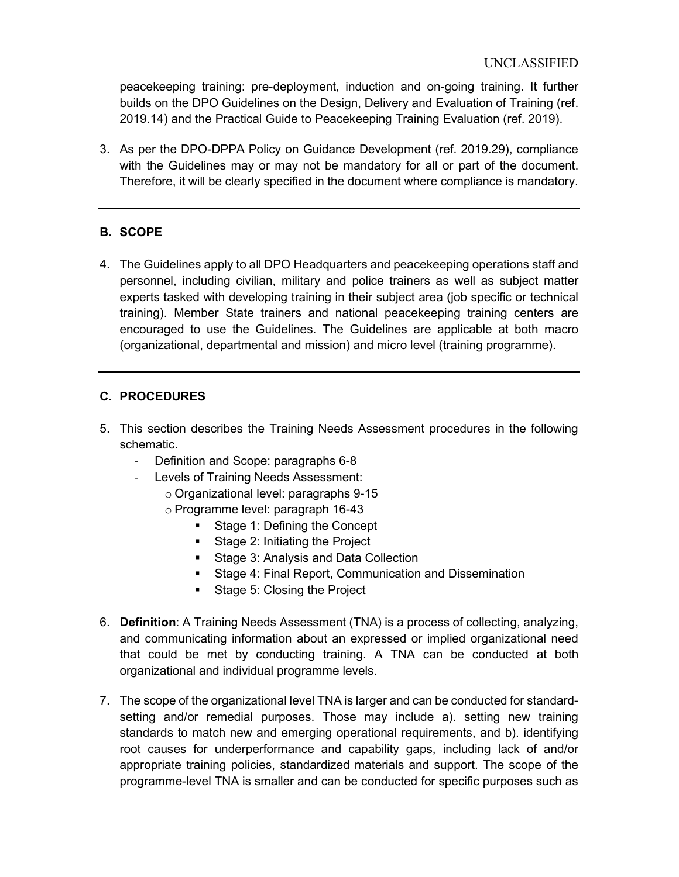peacekeeping training: pre-deployment, induction and on-going training. It further builds on the DPO Guidelines on the Design, Delivery and Evaluation of Training (ref. 2019.14) and the Practical Guide to Peacekeeping Training Evaluation (ref. 2019).

3. As per the DPO-DPPA Policy on Guidance Development (ref. 2019.29), compliance with the Guidelines may or may not be mandatory for all or part of the document. Therefore, it will be clearly specified in the document where compliance is mandatory.

# B. SCOPE

4. The Guidelines apply to all DPO Headquarters and peacekeeping operations staff and personnel, including civilian, military and police trainers as well as subject matter experts tasked with developing training in their subject area (job specific or technical training). Member State trainers and national peacekeeping training centers are encouraged to use the Guidelines. The Guidelines are applicable at both macro (organizational, departmental and mission) and micro level (training programme).

# C. PROCEDURES

- 5. This section describes the Training Needs Assessment procedures in the following schematic.
	- Definition and Scope: paragraphs 6-8
	- Levels of Training Needs Assessment:
		- o Organizational level: paragraphs 9-15
		- o Programme level: paragraph 16-43
			- Stage 1: Defining the Concept
			- Stage 2: Initiating the Project
			- Stage 3: Analysis and Data Collection
			- **Stage 4: Final Report, Communication and Dissemination**
			- Stage 5: Closing the Project
- 6. Definition: A Training Needs Assessment (TNA) is a process of collecting, analyzing, and communicating information about an expressed or implied organizational need that could be met by conducting training. A TNA can be conducted at both organizational and individual programme levels.
- 7. The scope of the organizational level TNA is larger and can be conducted for standardsetting and/or remedial purposes. Those may include a). setting new training standards to match new and emerging operational requirements, and b). identifying root causes for underperformance and capability gaps, including lack of and/or appropriate training policies, standardized materials and support. The scope of the programme-level TNA is smaller and can be conducted for specific purposes such as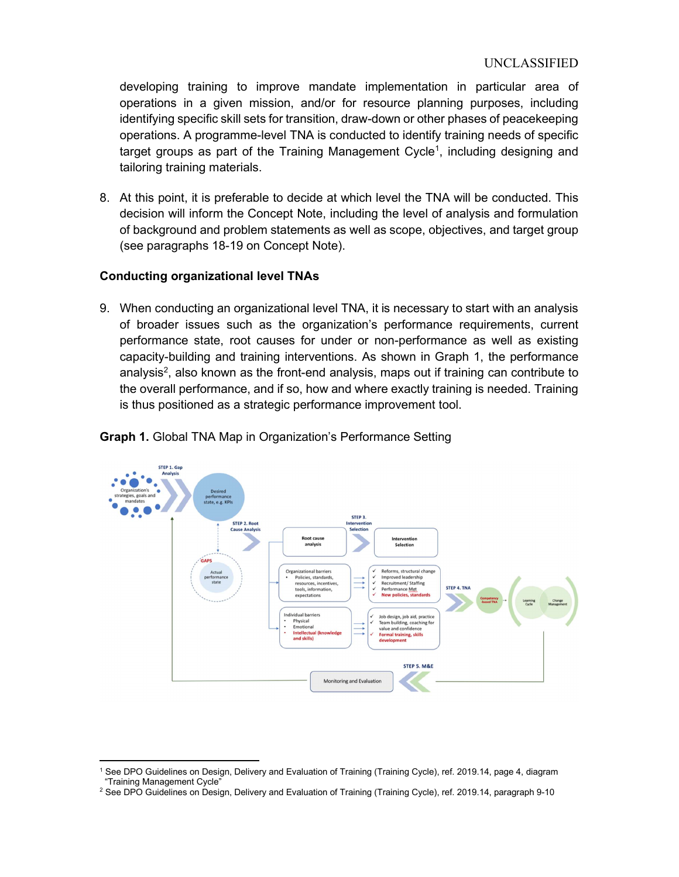developing training to improve mandate implementation in particular area of operations in a given mission, and/or for resource planning purposes, including identifying specific skill sets for transition, draw-down or other phases of peacekeeping operations. A programme-level TNA is conducted to identify training needs of specific target groups as part of the Training Management Cycle<sup>1</sup>, including designing and tailoring training materials.

8. At this point, it is preferable to decide at which level the TNA will be conducted. This decision will inform the Concept Note, including the level of analysis and formulation of background and problem statements as well as scope, objectives, and target group (see paragraphs 18-19 on Concept Note).

## Conducting organizational level TNAs

9. When conducting an organizational level TNA, it is necessary to start with an analysis of broader issues such as the organization's performance requirements, current performance state, root causes for under or non-performance as well as existing capacity-building and training interventions. As shown in Graph 1, the performance analysis<sup>2</sup>, also known as the front-end analysis, maps out if training can contribute to the overall performance, and if so, how and where exactly training is needed. Training is thus positioned as a strategic performance improvement tool.





<sup>1</sup> See DPO Guidelines on Design, Delivery and Evaluation of Training (Training Cycle), ref. 2019.14, page 4, diagram "Training Management Cycle"

<sup>2</sup> See DPO Guidelines on Design, Delivery and Evaluation of Training (Training Cycle), ref. 2019.14, paragraph 9-10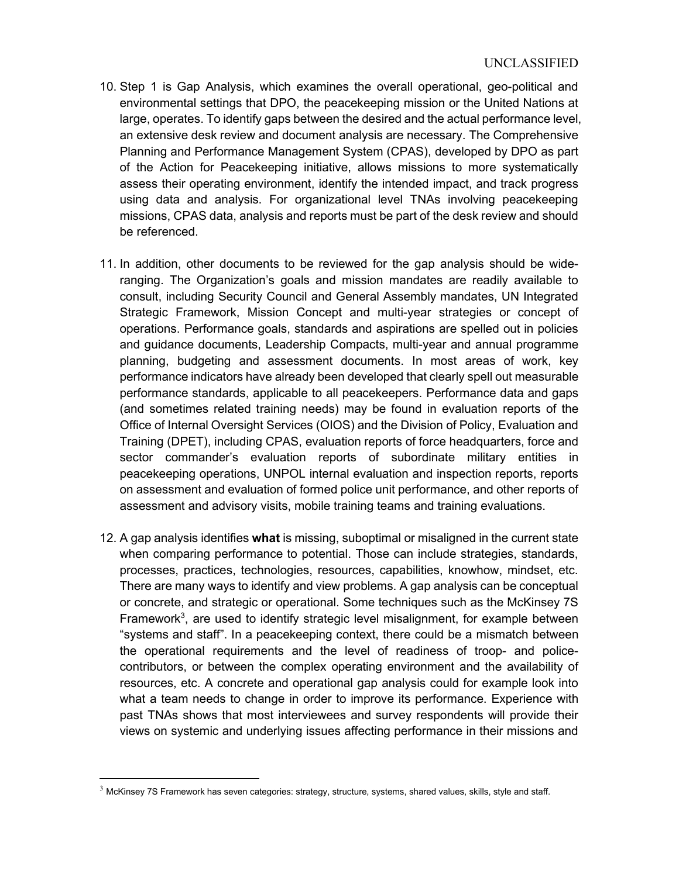- 10. Step 1 is Gap Analysis, which examines the overall operational, geo-political and environmental settings that DPO, the peacekeeping mission or the United Nations at large, operates. To identify gaps between the desired and the actual performance level, an extensive desk review and document analysis are necessary. The Comprehensive Planning and Performance Management System (CPAS), developed by DPO as part of the Action for Peacekeeping initiative, allows missions to more systematically assess their operating environment, identify the intended impact, and track progress using data and analysis. For organizational level TNAs involving peacekeeping missions, CPAS data, analysis and reports must be part of the desk review and should be referenced.
- 11. In addition, other documents to be reviewed for the gap analysis should be wideranging. The Organization's goals and mission mandates are readily available to consult, including Security Council and General Assembly mandates, UN Integrated Strategic Framework, Mission Concept and multi-year strategies or concept of operations. Performance goals, standards and aspirations are spelled out in policies and guidance documents, Leadership Compacts, multi-year and annual programme planning, budgeting and assessment documents. In most areas of work, key performance indicators have already been developed that clearly spell out measurable performance standards, applicable to all peacekeepers. Performance data and gaps (and sometimes related training needs) may be found in evaluation reports of the Office of Internal Oversight Services (OIOS) and the Division of Policy, Evaluation and Training (DPET), including CPAS, evaluation reports of force headquarters, force and sector commander's evaluation reports of subordinate military entities in peacekeeping operations, UNPOL internal evaluation and inspection reports, reports on assessment and evaluation of formed police unit performance, and other reports of assessment and advisory visits, mobile training teams and training evaluations.
- 12. A gap analysis identifies what is missing, suboptimal or misaligned in the current state when comparing performance to potential. Those can include strategies, standards, processes, practices, technologies, resources, capabilities, knowhow, mindset, etc. There are many ways to identify and view problems. A gap analysis can be conceptual or concrete, and strategic or operational. Some techniques such as the McKinsey 7S Framework<sup>3</sup>, are used to identify strategic level misalignment, for example between "systems and staff". In a peacekeeping context, there could be a mismatch between the operational requirements and the level of readiness of troop- and policecontributors, or between the complex operating environment and the availability of resources, etc. A concrete and operational gap analysis could for example look into what a team needs to change in order to improve its performance. Experience with past TNAs shows that most interviewees and survey respondents will provide their views on systemic and underlying issues affecting performance in their missions and

 $3$  McKinsey 7S Framework has seven categories: strategy, structure, systems, shared values, skills, style and staff.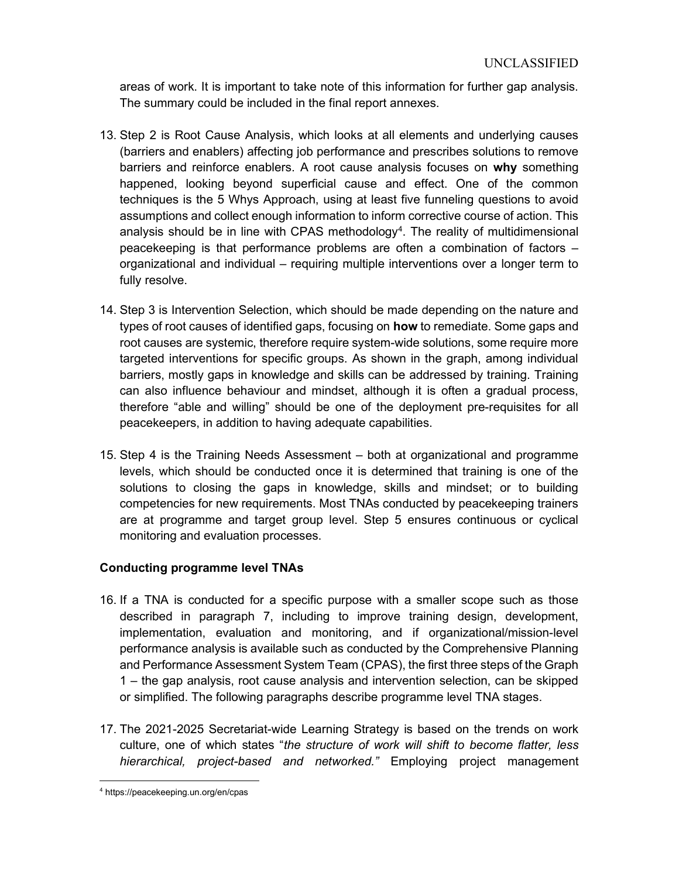areas of work. It is important to take note of this information for further gap analysis. The summary could be included in the final report annexes.

- 13. Step 2 is Root Cause Analysis, which looks at all elements and underlying causes (barriers and enablers) affecting job performance and prescribes solutions to remove barriers and reinforce enablers. A root cause analysis focuses on why something happened, looking beyond superficial cause and effect. One of the common techniques is the 5 Whys Approach, using at least five funneling questions to avoid assumptions and collect enough information to inform corrective course of action. This analysis should be in line with CPAS methodology<sup>4</sup>. The reality of multidimensional peacekeeping is that performance problems are often a combination of factors – organizational and individual – requiring multiple interventions over a longer term to fully resolve.
- 14. Step 3 is Intervention Selection, which should be made depending on the nature and types of root causes of identified gaps, focusing on **how** to remediate. Some gaps and root causes are systemic, therefore require system-wide solutions, some require more targeted interventions for specific groups. As shown in the graph, among individual barriers, mostly gaps in knowledge and skills can be addressed by training. Training can also influence behaviour and mindset, although it is often a gradual process, therefore "able and willing" should be one of the deployment pre-requisites for all peacekeepers, in addition to having adequate capabilities.
- 15. Step 4 is the Training Needs Assessment both at organizational and programme levels, which should be conducted once it is determined that training is one of the solutions to closing the gaps in knowledge, skills and mindset; or to building competencies for new requirements. Most TNAs conducted by peacekeeping trainers are at programme and target group level. Step 5 ensures continuous or cyclical monitoring and evaluation processes.

#### Conducting programme level TNAs

- 16. If a TNA is conducted for a specific purpose with a smaller scope such as those described in paragraph 7, including to improve training design, development, implementation, evaluation and monitoring, and if organizational/mission-level performance analysis is available such as conducted by the Comprehensive Planning and Performance Assessment System Team (CPAS), the first three steps of the Graph 1 – the gap analysis, root cause analysis and intervention selection, can be skipped or simplified. The following paragraphs describe programme level TNA stages.
- 17. The 2021-2025 Secretariat-wide Learning Strategy is based on the trends on work culture, one of which states "the structure of work will shift to become flatter, less hierarchical, project-based and networked." Employing project management

<sup>4</sup> https://peacekeeping.un.org/en/cpas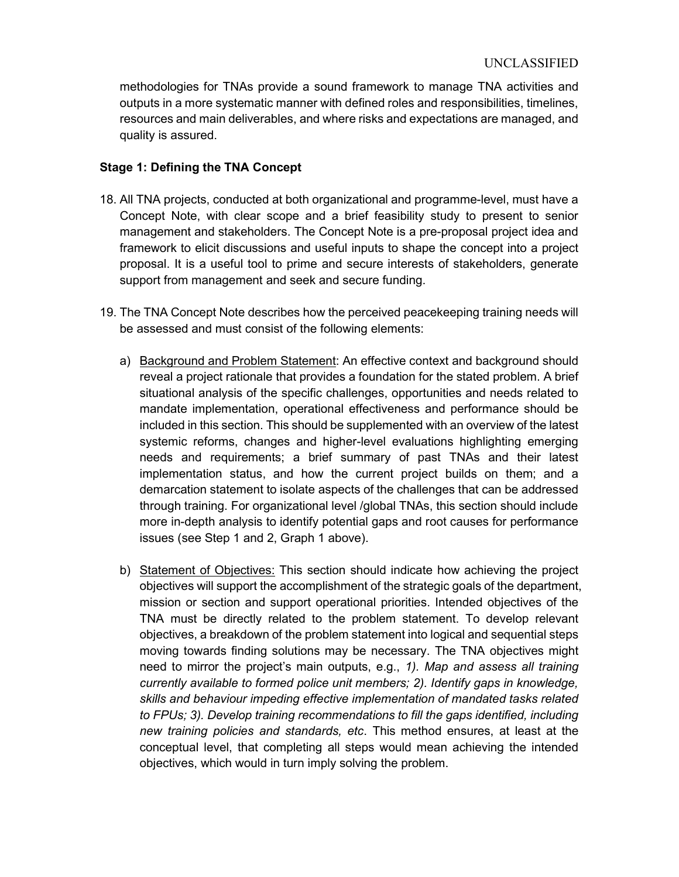methodologies for TNAs provide a sound framework to manage TNA activities and outputs in a more systematic manner with defined roles and responsibilities, timelines, resources and main deliverables, and where risks and expectations are managed, and quality is assured.

## Stage 1: Defining the TNA Concept

- 18. All TNA projects, conducted at both organizational and programme-level, must have a Concept Note, with clear scope and a brief feasibility study to present to senior management and stakeholders. The Concept Note is a pre-proposal project idea and framework to elicit discussions and useful inputs to shape the concept into a project proposal. It is a useful tool to prime and secure interests of stakeholders, generate support from management and seek and secure funding.
- 19. The TNA Concept Note describes how the perceived peacekeeping training needs will be assessed and must consist of the following elements:
	- a) Background and Problem Statement: An effective context and background should reveal a project rationale that provides a foundation for the stated problem. A brief situational analysis of the specific challenges, opportunities and needs related to mandate implementation, operational effectiveness and performance should be included in this section. This should be supplemented with an overview of the latest systemic reforms, changes and higher-level evaluations highlighting emerging needs and requirements; a brief summary of past TNAs and their latest implementation status, and how the current project builds on them; and a demarcation statement to isolate aspects of the challenges that can be addressed through training. For organizational level /global TNAs, this section should include more in-depth analysis to identify potential gaps and root causes for performance issues (see Step 1 and 2, Graph 1 above).
	- b) Statement of Objectives: This section should indicate how achieving the project objectives will support the accomplishment of the strategic goals of the department, mission or section and support operational priorities. Intended objectives of the TNA must be directly related to the problem statement. To develop relevant objectives, a breakdown of the problem statement into logical and sequential steps moving towards finding solutions may be necessary. The TNA objectives might need to mirror the project's main outputs, e.g., 1). Map and assess all training currently available to formed police unit members; 2). Identify gaps in knowledge, skills and behaviour impeding effective implementation of mandated tasks related to FPUs; 3). Develop training recommendations to fill the gaps identified, including new training policies and standards, etc. This method ensures, at least at the conceptual level, that completing all steps would mean achieving the intended objectives, which would in turn imply solving the problem.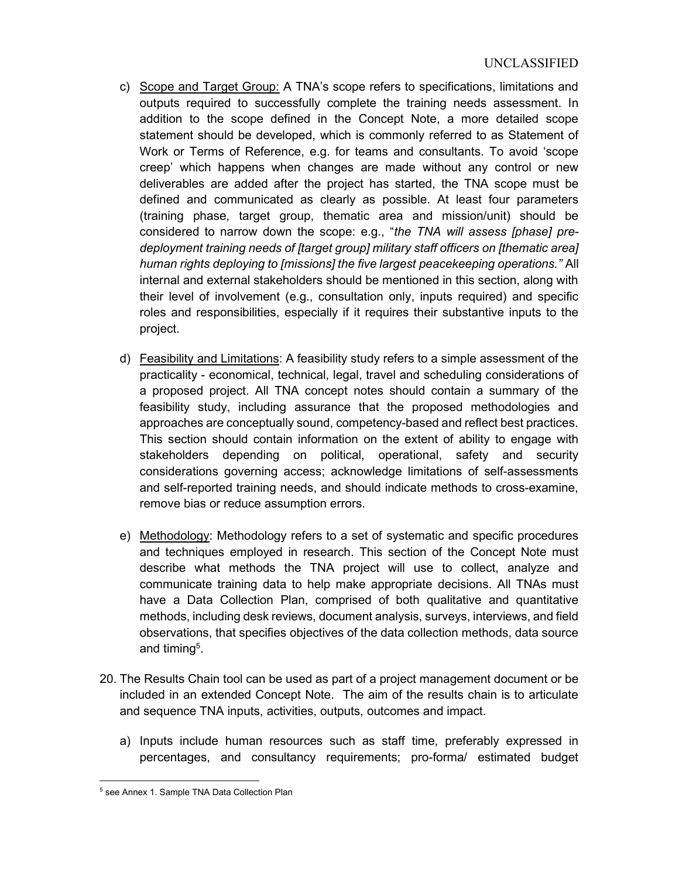- c) Scope and Target Group: A TNA's scope refers to specifications, limitations and outputs required to successfully complete the training needs assessment. In addition to the scope defined in the Concept Note, a more detailed scope statement should be developed, which is commonly referred to as Statement of Work or Terms of Reference, e.g. for teams and consultants. To avoid 'scope creep' which happens when changes are made without any control or new deliverables are added after the project has started, the TNA scope must be defined and communicated as clearly as possible. At least four parameters (training phase, target group, thematic area and mission/unit) should be considered to narrow down the scope: e.g., "the TNA will assess [phase] predeployment training needs of [target group] military staff officers on [thematic area] human rights deploying to [missions] the five largest peacekeeping operations." All internal and external stakeholders should be mentioned in this section, along with their level of involvement (e.g., consultation only, inputs required) and specific roles and responsibilities, especially if it requires their substantive inputs to the project.
- d) Feasibility and Limitations: A feasibility study refers to a simple assessment of the practicality - economical, technical, legal, travel and scheduling considerations of a proposed project. All TNA concept notes should contain a summary of the feasibility study, including assurance that the proposed methodologies and approaches are conceptually sound, competency-based and reflect best practices. This section should contain information on the extent of ability to engage with stakeholders depending on political, operational, safety and security considerations governing access; acknowledge limitations of self-assessments and self-reported training needs, and should indicate methods to cross-examine, remove bias or reduce assumption errors.
- e) Methodology: Methodology refers to a set of systematic and specific procedures and techniques employed in research. This section of the Concept Note must describe what methods the TNA project will use to collect, analyze and communicate training data to help make appropriate decisions. All TNAs must have a Data Collection Plan, comprised of both qualitative and quantitative methods, including desk reviews, document analysis, surveys, interviews, and field observations, that specifies objectives of the data collection methods, data source and timing<sup>5</sup>.
- 20. The Results Chain tool can be used as part of a project management document or be included in an extended Concept Note. The aim of the results chain is to articulate and sequence TNA inputs, activities, outputs, outcomes and impact.
	- a) Inputs include human resources such as staff time, preferably expressed in percentages, and consultancy requirements; pro-forma/ estimated budget

<sup>&</sup>lt;sup>5</sup> see Annex 1. Sample TNA Data Collection Plan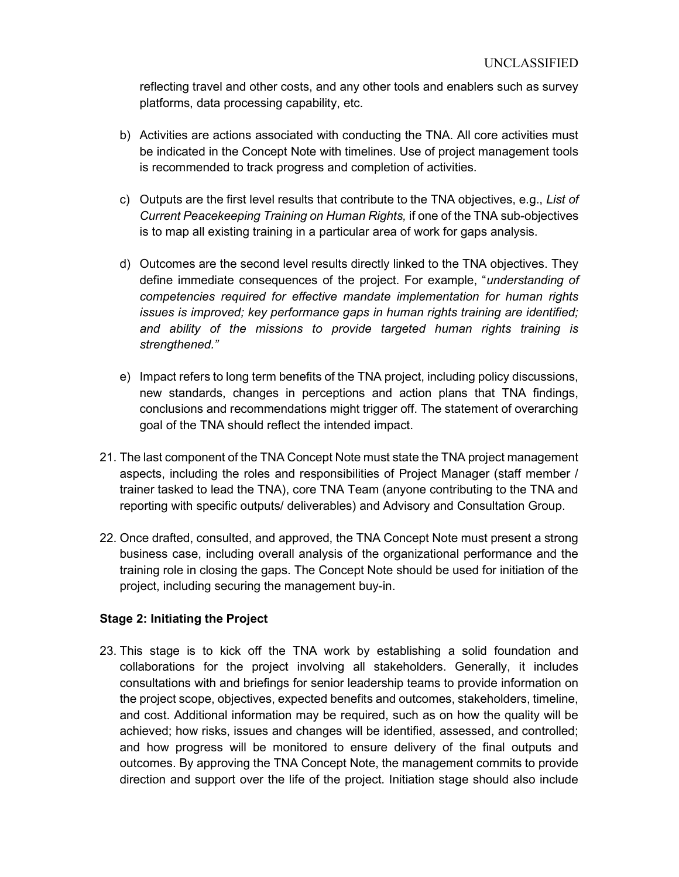reflecting travel and other costs, and any other tools and enablers such as survey platforms, data processing capability, etc.

- b) Activities are actions associated with conducting the TNA. All core activities must be indicated in the Concept Note with timelines. Use of project management tools is recommended to track progress and completion of activities.
- c) Outputs are the first level results that contribute to the TNA objectives, e.g., List of Current Peacekeeping Training on Human Rights, if one of the TNA sub-objectives is to map all existing training in a particular area of work for gaps analysis.
- d) Outcomes are the second level results directly linked to the TNA objectives. They define immediate consequences of the project. For example, "understanding of competencies required for effective mandate implementation for human rights issues is improved; key performance gaps in human rights training are identified; and ability of the missions to provide targeted human rights training is strengthened."
- e) Impact refers to long term benefits of the TNA project, including policy discussions, new standards, changes in perceptions and action plans that TNA findings, conclusions and recommendations might trigger off. The statement of overarching goal of the TNA should reflect the intended impact.
- 21. The last component of the TNA Concept Note must state the TNA project management aspects, including the roles and responsibilities of Project Manager (staff member / trainer tasked to lead the TNA), core TNA Team (anyone contributing to the TNA and reporting with specific outputs/ deliverables) and Advisory and Consultation Group.
- 22. Once drafted, consulted, and approved, the TNA Concept Note must present a strong business case, including overall analysis of the organizational performance and the training role in closing the gaps. The Concept Note should be used for initiation of the project, including securing the management buy-in.

# Stage 2: Initiating the Project

23. This stage is to kick off the TNA work by establishing a solid foundation and collaborations for the project involving all stakeholders. Generally, it includes consultations with and briefings for senior leadership teams to provide information on the project scope, objectives, expected benefits and outcomes, stakeholders, timeline, and cost. Additional information may be required, such as on how the quality will be achieved; how risks, issues and changes will be identified, assessed, and controlled; and how progress will be monitored to ensure delivery of the final outputs and outcomes. By approving the TNA Concept Note, the management commits to provide direction and support over the life of the project. Initiation stage should also include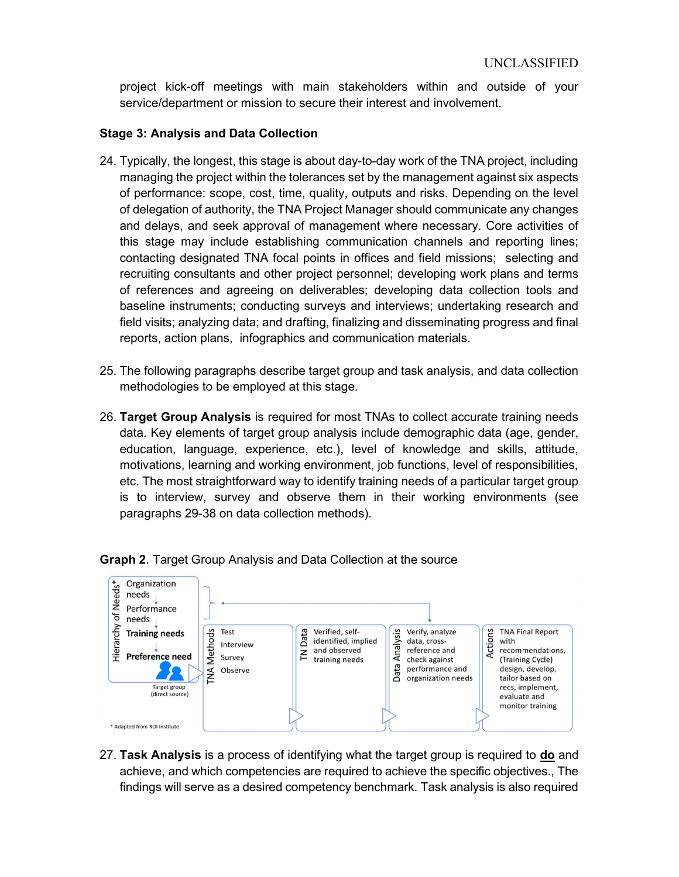project kick-off meetings with main stakeholders within and outside of your service/department or mission to secure their interest and involvement.

#### Stage 3: Analysis and Data Collection

- 24. Typically, the longest, this stage is about day-to-day work of the TNA project, including managing the project within the tolerances set by the management against six aspects of performance: scope, cost, time, quality, outputs and risks. Depending on the level of delegation of authority, the TNA Project Manager should communicate any changes and delays, and seek approval of management where necessary. Core activities of this stage may include establishing communication channels and reporting lines; contacting designated TNA focal points in offices and field missions; selecting and recruiting consultants and other project personnel; developing work plans and terms of references and agreeing on deliverables; developing data collection tools and baseline instruments; conducting surveys and interviews; undertaking research and field visits; analyzing data; and drafting, finalizing and disseminating progress and final reports, action plans, infographics and communication materials.
- 25. The following paragraphs describe target group and task analysis, and data collection methodologies to be employed at this stage.
- 26. Target Group Analysis is required for most TNAs to collect accurate training needs data. Key elements of target group analysis include demographic data (age, gender, education, language, experience, etc.), level of knowledge and skills, attitude, motivations, learning and working environment, job functions, level of responsibilities, etc. The most straightforward way to identify training needs of a particular target group is to interview, survey and observe them in their working environments (see paragraphs 29-38 on data collection methods).



Graph 2. Target Group Analysis and Data Collection at the source

27. Task Analysis is a process of identifying what the target group is required to  $d\mathbf{o}$  and achieve, and which competencies are required to achieve the specific objectives., The findings will serve as a desired competency benchmark. Task analysis is also required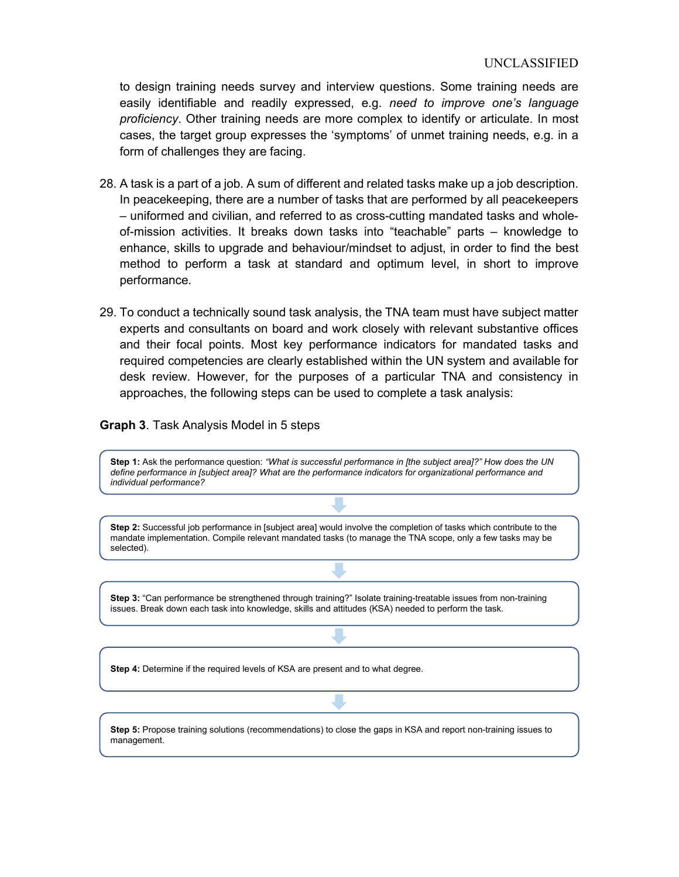to design training needs survey and interview questions. Some training needs are easily identifiable and readily expressed, e.g. need to improve one's language proficiency. Other training needs are more complex to identify or articulate. In most cases, the target group expresses the 'symptoms' of unmet training needs, e.g. in a form of challenges they are facing.

- 28. A task is a part of a job. A sum of different and related tasks make up a job description. In peacekeeping, there are a number of tasks that are performed by all peacekeepers – uniformed and civilian, and referred to as cross-cutting mandated tasks and wholeof-mission activities. It breaks down tasks into "teachable" parts – knowledge to enhance, skills to upgrade and behaviour/mindset to adjust, in order to find the best method to perform a task at standard and optimum level, in short to improve performance.
- 29. To conduct a technically sound task analysis, the TNA team must have subject matter experts and consultants on board and work closely with relevant substantive offices and their focal points. Most key performance indicators for mandated tasks and required competencies are clearly established within the UN system and available for desk review. However, for the purposes of a particular TNA and consistency in approaches, the following steps can be used to complete a task analysis:

#### Graph 3. Task Analysis Model in 5 steps

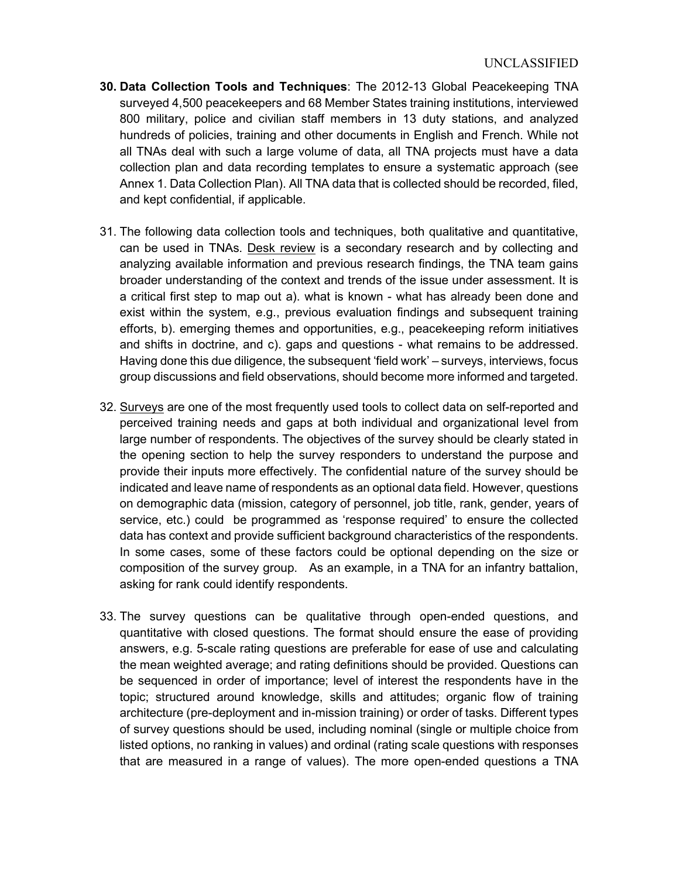- 30. Data Collection Tools and Techniques: The 2012-13 Global Peacekeeping TNA surveyed 4,500 peacekeepers and 68 Member States training institutions, interviewed 800 military, police and civilian staff members in 13 duty stations, and analyzed hundreds of policies, training and other documents in English and French. While not all TNAs deal with such a large volume of data, all TNA projects must have a data collection plan and data recording templates to ensure a systematic approach (see Annex 1. Data Collection Plan). All TNA data that is collected should be recorded, filed, and kept confidential, if applicable.
- 31. The following data collection tools and techniques, both qualitative and quantitative, can be used in TNAs. Desk review is a secondary research and by collecting and analyzing available information and previous research findings, the TNA team gains broader understanding of the context and trends of the issue under assessment. It is a critical first step to map out a). what is known - what has already been done and exist within the system, e.g., previous evaluation findings and subsequent training efforts, b). emerging themes and opportunities, e.g., peacekeeping reform initiatives and shifts in doctrine, and c). gaps and questions - what remains to be addressed. Having done this due diligence, the subsequent 'field work' – surveys, interviews, focus group discussions and field observations, should become more informed and targeted.
- 32. Surveys are one of the most frequently used tools to collect data on self-reported and perceived training needs and gaps at both individual and organizational level from large number of respondents. The objectives of the survey should be clearly stated in the opening section to help the survey responders to understand the purpose and provide their inputs more effectively. The confidential nature of the survey should be indicated and leave name of respondents as an optional data field. However, questions on demographic data (mission, category of personnel, job title, rank, gender, years of service, etc.) could be programmed as 'response required' to ensure the collected data has context and provide sufficient background characteristics of the respondents. In some cases, some of these factors could be optional depending on the size or composition of the survey group. As an example, in a TNA for an infantry battalion, asking for rank could identify respondents.
- 33. The survey questions can be qualitative through open-ended questions, and quantitative with closed questions. The format should ensure the ease of providing answers, e.g. 5-scale rating questions are preferable for ease of use and calculating the mean weighted average; and rating definitions should be provided. Questions can be sequenced in order of importance; level of interest the respondents have in the topic; structured around knowledge, skills and attitudes; organic flow of training architecture (pre-deployment and in-mission training) or order of tasks. Different types of survey questions should be used, including nominal (single or multiple choice from listed options, no ranking in values) and ordinal (rating scale questions with responses that are measured in a range of values). The more open-ended questions a TNA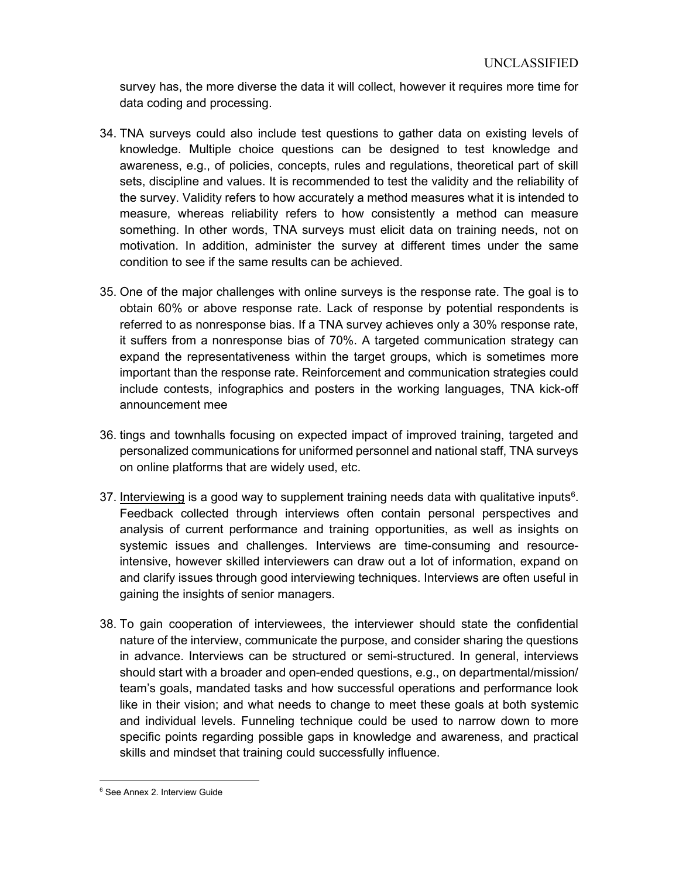survey has, the more diverse the data it will collect, however it requires more time for data coding and processing.

- 34. TNA surveys could also include test questions to gather data on existing levels of knowledge. Multiple choice questions can be designed to test knowledge and awareness, e.g., of policies, concepts, rules and regulations, theoretical part of skill sets, discipline and values. It is recommended to test the validity and the reliability of the survey. Validity refers to how accurately a method measures what it is intended to measure, whereas reliability refers to how consistently a method can measure something. In other words, TNA surveys must elicit data on training needs, not on motivation. In addition, administer the survey at different times under the same condition to see if the same results can be achieved.
- 35. One of the major challenges with online surveys is the response rate. The goal is to obtain 60% or above response rate. Lack of response by potential respondents is referred to as nonresponse bias. If a TNA survey achieves only a 30% response rate, it suffers from a nonresponse bias of 70%. A targeted communication strategy can expand the representativeness within the target groups, which is sometimes more important than the response rate. Reinforcement and communication strategies could include contests, infographics and posters in the working languages, TNA kick-off announcement mee
- 36. tings and townhalls focusing on expected impact of improved training, targeted and personalized communications for uniformed personnel and national staff, TNA surveys on online platforms that are widely used, etc.
- 37. Interviewing is a good way to supplement training needs data with qualitative inputs<sup>6</sup>. Feedback collected through interviews often contain personal perspectives and analysis of current performance and training opportunities, as well as insights on systemic issues and challenges. Interviews are time-consuming and resourceintensive, however skilled interviewers can draw out a lot of information, expand on and clarify issues through good interviewing techniques. Interviews are often useful in gaining the insights of senior managers.
- 38. To gain cooperation of interviewees, the interviewer should state the confidential nature of the interview, communicate the purpose, and consider sharing the questions in advance. Interviews can be structured or semi-structured. In general, interviews should start with a broader and open-ended questions, e.g., on departmental/mission/ team's goals, mandated tasks and how successful operations and performance look like in their vision; and what needs to change to meet these goals at both systemic and individual levels. Funneling technique could be used to narrow down to more specific points regarding possible gaps in knowledge and awareness, and practical skills and mindset that training could successfully influence.

<sup>6</sup> See Annex 2. Interview Guide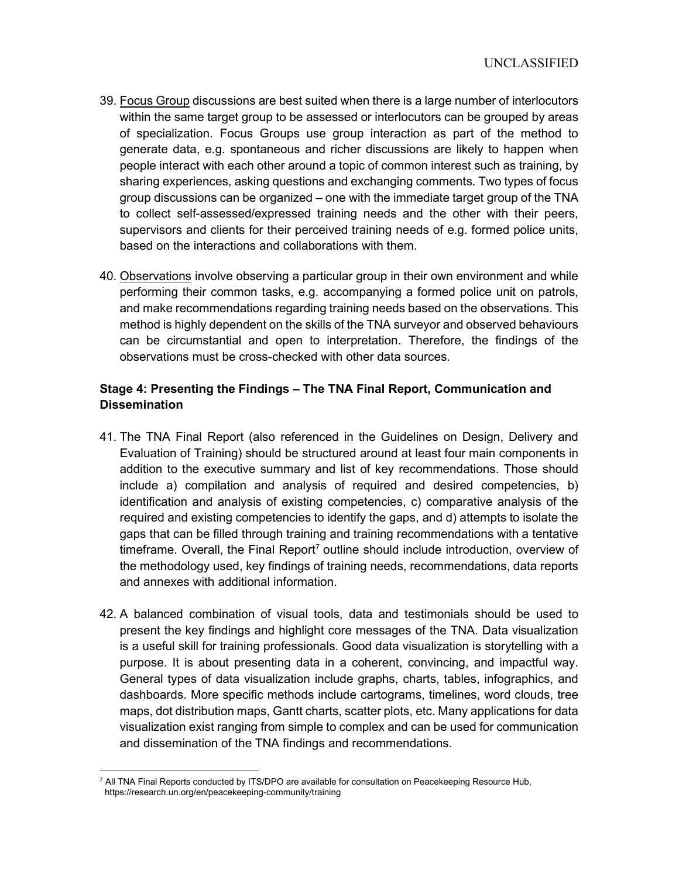- 39. Focus Group discussions are best suited when there is a large number of interlocutors within the same target group to be assessed or interlocutors can be grouped by areas of specialization. Focus Groups use group interaction as part of the method to generate data, e.g. spontaneous and richer discussions are likely to happen when people interact with each other around a topic of common interest such as training, by sharing experiences, asking questions and exchanging comments. Two types of focus group discussions can be organized – one with the immediate target group of the TNA to collect self-assessed/expressed training needs and the other with their peers, supervisors and clients for their perceived training needs of e.g. formed police units, based on the interactions and collaborations with them.
- 40. Observations involve observing a particular group in their own environment and while performing their common tasks, e.g. accompanying a formed police unit on patrols, and make recommendations regarding training needs based on the observations. This method is highly dependent on the skills of the TNA surveyor and observed behaviours can be circumstantial and open to interpretation. Therefore, the findings of the observations must be cross-checked with other data sources.

# Stage 4: Presenting the Findings – The TNA Final Report, Communication and **Dissemination**

- 41. The TNA Final Report (also referenced in the Guidelines on Design, Delivery and Evaluation of Training) should be structured around at least four main components in addition to the executive summary and list of key recommendations. Those should include a) compilation and analysis of required and desired competencies, b) identification and analysis of existing competencies, c) comparative analysis of the required and existing competencies to identify the gaps, and d) attempts to isolate the gaps that can be filled through training and training recommendations with a tentative timeframe. Overall, the Final Report<sup>7</sup> outline should include introduction, overview of the methodology used, key findings of training needs, recommendations, data reports and annexes with additional information.
- 42. A balanced combination of visual tools, data and testimonials should be used to present the key findings and highlight core messages of the TNA. Data visualization is a useful skill for training professionals. Good data visualization is storytelling with a purpose. It is about presenting data in a coherent, convincing, and impactful way. General types of data visualization include graphs, charts, tables, infographics, and dashboards. More specific methods include cartograms, timelines, word clouds, tree maps, dot distribution maps, Gantt charts, scatter plots, etc. Many applications for data visualization exist ranging from simple to complex and can be used for communication and dissemination of the TNA findings and recommendations.

<sup>&</sup>lt;sup>7</sup> All TNA Final Reports conducted by ITS/DPO are available for consultation on Peacekeeping Resource Hub, https://research.un.org/en/peacekeeping-community/training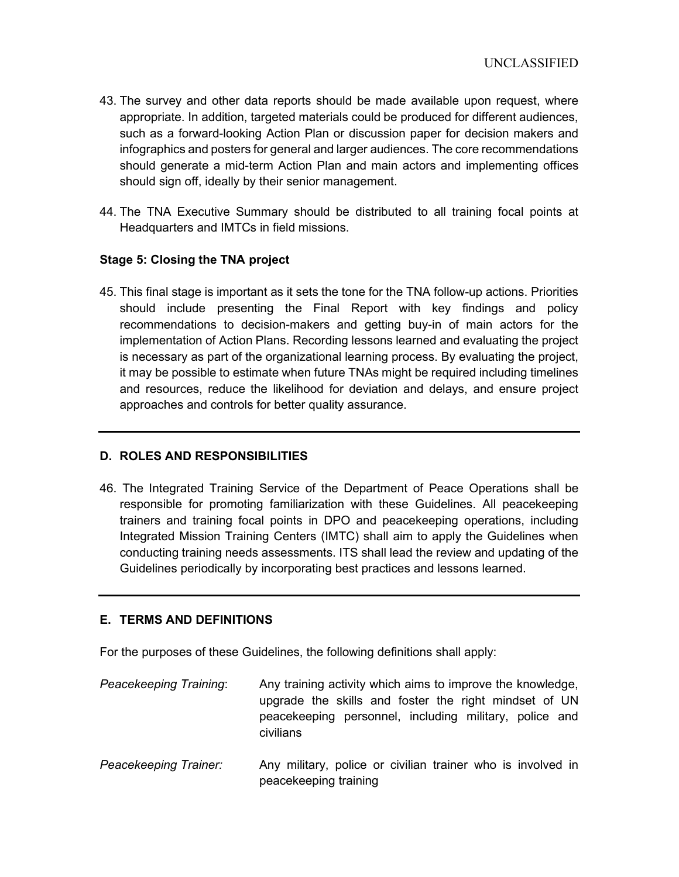- 43. The survey and other data reports should be made available upon request, where appropriate. In addition, targeted materials could be produced for different audiences, such as a forward-looking Action Plan or discussion paper for decision makers and infographics and posters for general and larger audiences. The core recommendations should generate a mid-term Action Plan and main actors and implementing offices should sign off, ideally by their senior management.
- 44. The TNA Executive Summary should be distributed to all training focal points at Headquarters and IMTCs in field missions.

#### Stage 5: Closing the TNA project

45. This final stage is important as it sets the tone for the TNA follow-up actions. Priorities should include presenting the Final Report with key findings and policy recommendations to decision-makers and getting buy-in of main actors for the implementation of Action Plans. Recording lessons learned and evaluating the project is necessary as part of the organizational learning process. By evaluating the project, it may be possible to estimate when future TNAs might be required including timelines and resources, reduce the likelihood for deviation and delays, and ensure project approaches and controls for better quality assurance.

#### D. ROLES AND RESPONSIBILITIES

46. The Integrated Training Service of the Department of Peace Operations shall be responsible for promoting familiarization with these Guidelines. All peacekeeping trainers and training focal points in DPO and peacekeeping operations, including Integrated Mission Training Centers (IMTC) shall aim to apply the Guidelines when conducting training needs assessments. ITS shall lead the review and updating of the Guidelines periodically by incorporating best practices and lessons learned.

#### E. TERMS AND DEFINITIONS

For the purposes of these Guidelines, the following definitions shall apply:

- Peacekeeping Training: Any training activity which aims to improve the knowledge, upgrade the skills and foster the right mindset of UN peacekeeping personnel, including military, police and civilians
- Peacekeeping Trainer: Any military, police or civilian trainer who is involved in peacekeeping training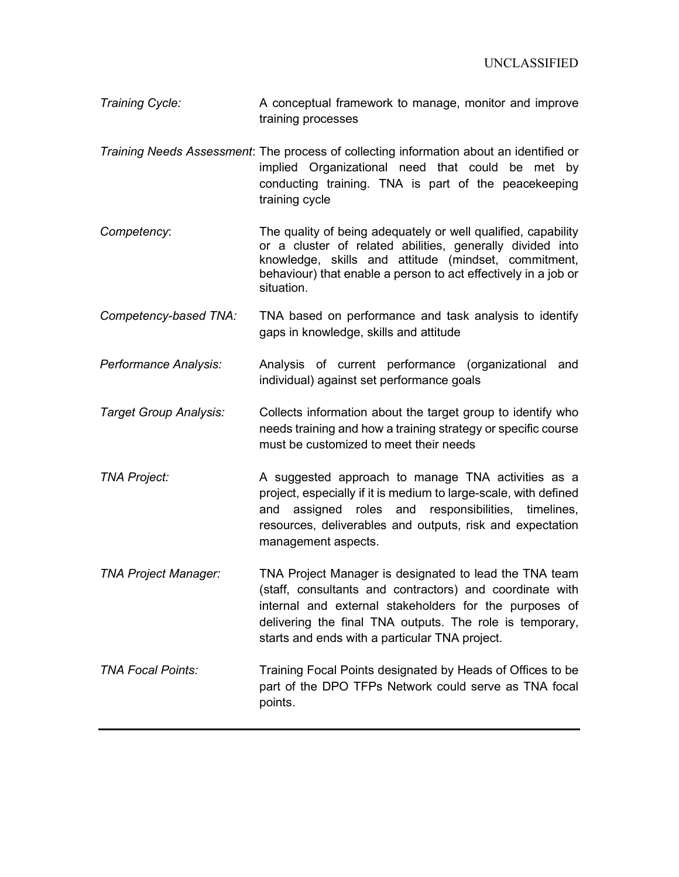- Training Cycle: A conceptual framework to manage, monitor and improve training processes
- Training Needs Assessment: The process of collecting information about an identified or implied Organizational need that could be met by conducting training. TNA is part of the peacekeeping training cycle
- Competency: The quality of being adequately or well qualified, capability or a cluster of related abilities, generally divided into knowledge, skills and attitude (mindset, commitment, behaviour) that enable a person to act effectively in a job or situation.
- Competency-based TNA: TNA based on performance and task analysis to identify gaps in knowledge, skills and attitude
- Performance Analysis: Analysis of current performance (organizational and individual) against set performance goals
- Target Group Analysis: Collects information about the target group to identify who needs training and how a training strategy or specific course must be customized to meet their needs
- TNA Project: **A** suggested approach to manage TNA activities as a project, especially if it is medium to large-scale, with defined and assigned roles and responsibilities, timelines, resources, deliverables and outputs, risk and expectation management aspects.
- TNA Project Manager: TNA Project Manager is designated to lead the TNA team (staff, consultants and contractors) and coordinate with internal and external stakeholders for the purposes of delivering the final TNA outputs. The role is temporary, starts and ends with a particular TNA project.
- TNA Focal Points: Training Focal Points designated by Heads of Offices to be part of the DPO TFPs Network could serve as TNA focal points.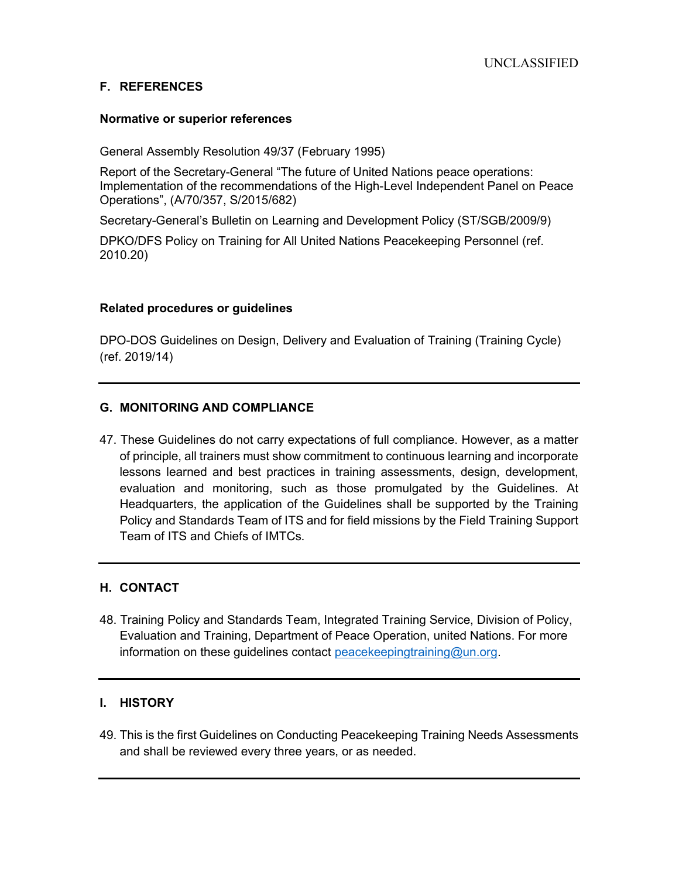#### F. REFERENCES

#### Normative or superior references

General Assembly Resolution 49/37 (February 1995)

Report of the Secretary-General "The future of United Nations peace operations: Implementation of the recommendations of the High-Level Independent Panel on Peace Operations", (A/70/357, S/2015/682)

Secretary-General's Bulletin on Learning and Development Policy (ST/SGB/2009/9)

DPKO/DFS Policy on Training for All United Nations Peacekeeping Personnel (ref. 2010.20)

#### Related procedures or guidelines

DPO-DOS Guidelines on Design, Delivery and Evaluation of Training (Training Cycle) (ref. 2019/14)

#### G. MONITORING AND COMPLIANCE

47. These Guidelines do not carry expectations of full compliance. However, as a matter of principle, all trainers must show commitment to continuous learning and incorporate lessons learned and best practices in training assessments, design, development, evaluation and monitoring, such as those promulgated by the Guidelines. At Headquarters, the application of the Guidelines shall be supported by the Training Policy and Standards Team of ITS and for field missions by the Field Training Support Team of ITS and Chiefs of IMTCs.

#### H. CONTACT

48. Training Policy and Standards Team, Integrated Training Service, Division of Policy, Evaluation and Training, Department of Peace Operation, united Nations. For more information on these guidelines contact peacekeepingtraining@un.org.

#### I. HISTORY

49. This is the first Guidelines on Conducting Peacekeeping Training Needs Assessments and shall be reviewed every three years, or as needed.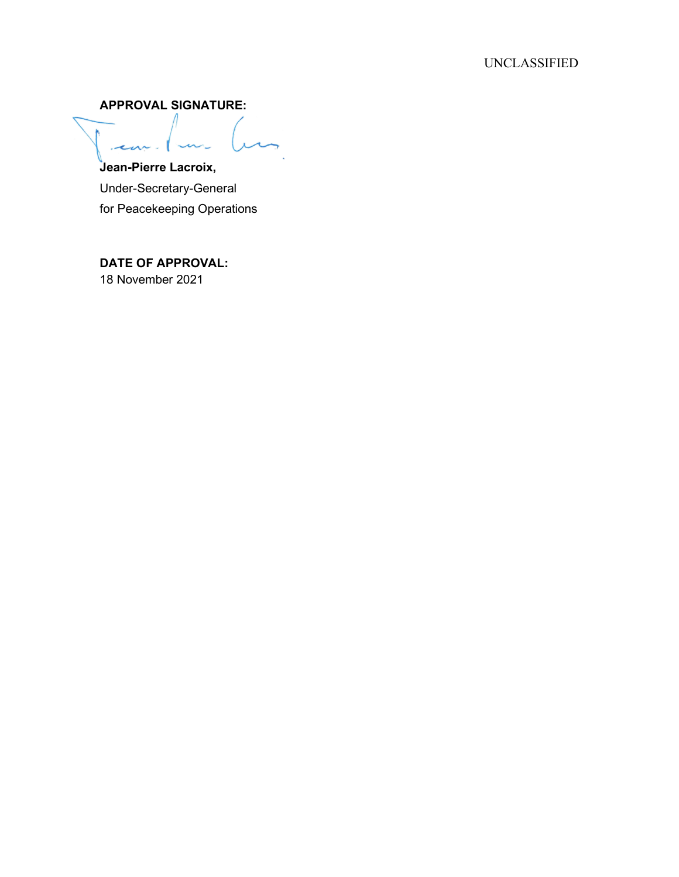APPROVAL SIGNATURE:

 $\frac{1}{2}$ ħ  $\overline{\mathcal{M}}$ Jean-Pierre Lacroix,

Under-Secretary-General for Peacekeeping Operations

DATE OF APPROVAL: 18 November 2021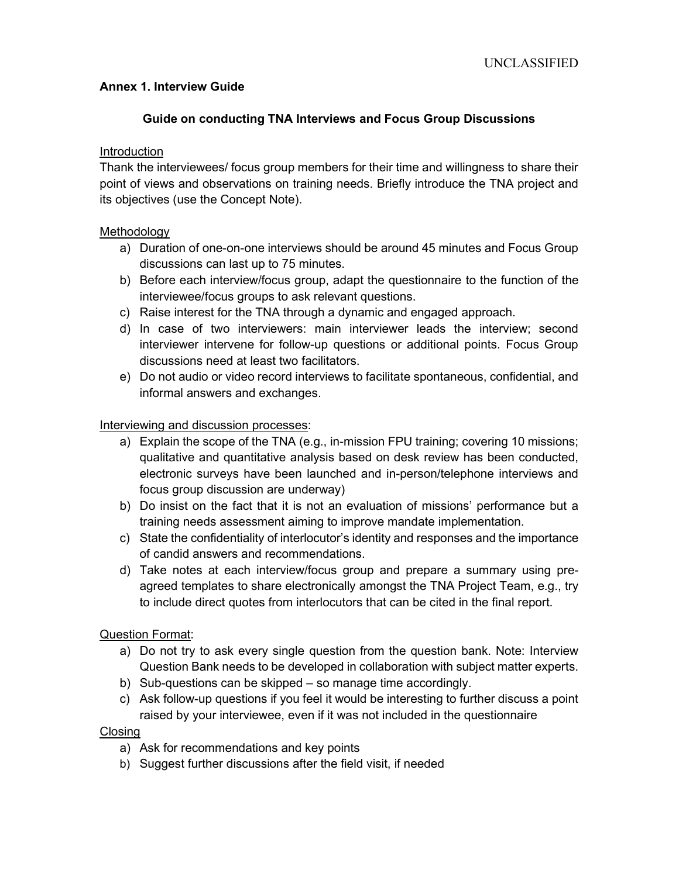#### Annex 1. Interview Guide

#### Guide on conducting TNA Interviews and Focus Group Discussions

#### Introduction

Thank the interviewees/ focus group members for their time and willingness to share their point of views and observations on training needs. Briefly introduce the TNA project and its objectives (use the Concept Note).

#### **Methodology**

- a) Duration of one-on-one interviews should be around 45 minutes and Focus Group discussions can last up to 75 minutes.
- b) Before each interview/focus group, adapt the questionnaire to the function of the interviewee/focus groups to ask relevant questions.
- c) Raise interest for the TNA through a dynamic and engaged approach.
- d) In case of two interviewers: main interviewer leads the interview; second interviewer intervene for follow-up questions or additional points. Focus Group discussions need at least two facilitators.
- e) Do not audio or video record interviews to facilitate spontaneous, confidential, and informal answers and exchanges.

#### Interviewing and discussion processes:

- a) Explain the scope of the TNA (e.g., in-mission FPU training; covering 10 missions; qualitative and quantitative analysis based on desk review has been conducted, electronic surveys have been launched and in-person/telephone interviews and focus group discussion are underway)
- b) Do insist on the fact that it is not an evaluation of missions' performance but a training needs assessment aiming to improve mandate implementation.
- c) State the confidentiality of interlocutor's identity and responses and the importance of candid answers and recommendations.
- d) Take notes at each interview/focus group and prepare a summary using preagreed templates to share electronically amongst the TNA Project Team, e.g., try to include direct quotes from interlocutors that can be cited in the final report.

Question Format:

- a) Do not try to ask every single question from the question bank. Note: Interview Question Bank needs to be developed in collaboration with subject matter experts.
- b) Sub-questions can be skipped so manage time accordingly.
- c) Ask follow-up questions if you feel it would be interesting to further discuss a point raised by your interviewee, even if it was not included in the questionnaire

**Closing** 

- a) Ask for recommendations and key points
- b) Suggest further discussions after the field visit, if needed